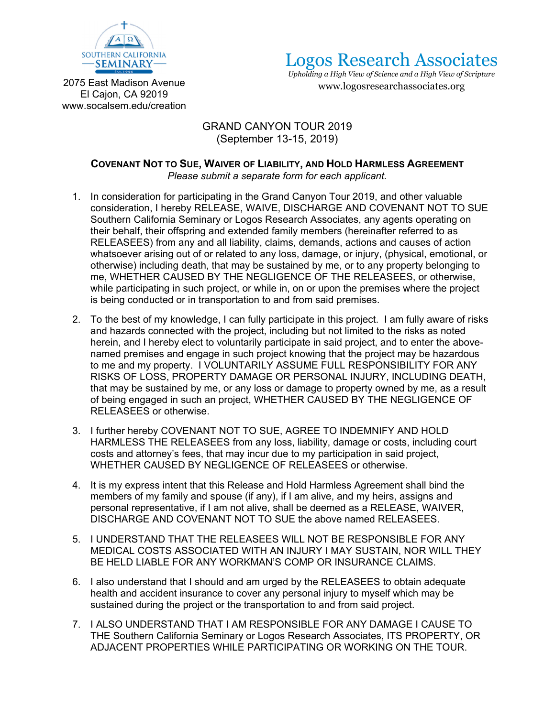

Logos Research Associates

*Upholding a High View of Science and a High View of Scripture*  www.logosresearchassociates.org

2075 East Madison Avenue El Cajon, CA 92019 www.socalsem.edu/creation

## GRAND CANYON TOUR 2019 (September 13-15, 2019)

## **COVENANT NOT TO SUE, WAIVER OF LIABILITY, AND HOLD HARMLESS AGREEMENT** *Please submit a separate form for each applicant.*

- 1. In consideration for participating in the Grand Canyon Tour 2019, and other valuable consideration, I hereby RELEASE, WAIVE, DISCHARGE AND COVENANT NOT TO SUE Southern California Seminary or Logos Research Associates, any agents operating on their behalf, their offspring and extended family members (hereinafter referred to as RELEASEES) from any and all liability, claims, demands, actions and causes of action whatsoever arising out of or related to any loss, damage, or injury, (physical, emotional, or otherwise) including death, that may be sustained by me, or to any property belonging to me, WHETHER CAUSED BY THE NEGLIGENCE OF THE RELEASEES, or otherwise, while participating in such project, or while in, on or upon the premises where the project is being conducted or in transportation to and from said premises.
- 2. To the best of my knowledge, I can fully participate in this project. I am fully aware of risks and hazards connected with the project, including but not limited to the risks as noted herein, and I hereby elect to voluntarily participate in said project, and to enter the abovenamed premises and engage in such project knowing that the project may be hazardous to me and my property. I VOLUNTARILY ASSUME FULL RESPONSIBILITY FOR ANY RISKS OF LOSS, PROPERTY DAMAGE OR PERSONAL INJURY, INCLUDING DEATH, that may be sustained by me, or any loss or damage to property owned by me, as a result of being engaged in such an project, WHETHER CAUSED BY THE NEGLIGENCE OF RELEASEES or otherwise.
- 3. I further hereby COVENANT NOT TO SUE, AGREE TO INDEMNIFY AND HOLD HARMLESS THE RELEASEES from any loss, liability, damage or costs, including court costs and attorney's fees, that may incur due to my participation in said project, WHETHER CAUSED BY NEGLIGENCE OF RELEASEES or otherwise.
- 4. It is my express intent that this Release and Hold Harmless Agreement shall bind the members of my family and spouse (if any), if I am alive, and my heirs, assigns and personal representative, if I am not alive, shall be deemed as a RELEASE, WAIVER, DISCHARGE AND COVENANT NOT TO SUE the above named RELEASEES.
- 5. I UNDERSTAND THAT THE RELEASEES WILL NOT BE RESPONSIBLE FOR ANY MEDICAL COSTS ASSOCIATED WITH AN INJURY I MAY SUSTAIN, NOR WILL THEY BE HELD LIABLE FOR ANY WORKMAN'S COMP OR INSURANCE CLAIMS.
- 6. I also understand that I should and am urged by the RELEASEES to obtain adequate health and accident insurance to cover any personal injury to myself which may be sustained during the project or the transportation to and from said project.
- 7. I ALSO UNDERSTAND THAT I AM RESPONSIBLE FOR ANY DAMAGE I CAUSE TO THE Southern California Seminary or Logos Research Associates, ITS PROPERTY, OR ADJACENT PROPERTIES WHILE PARTICIPATING OR WORKING ON THE TOUR.